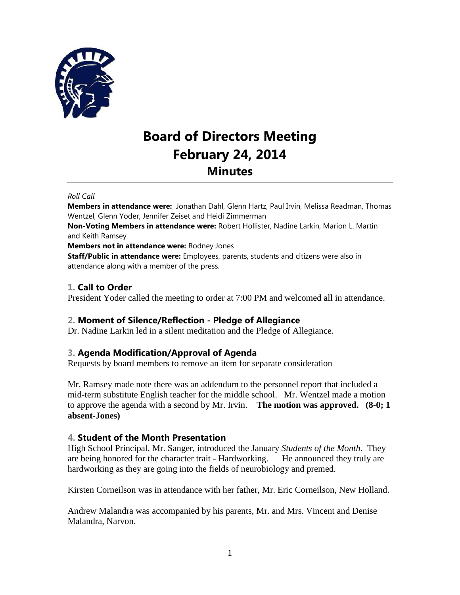

# **Board of Directors Meeting February 24, 2014 Minutes**

#### *Roll Call*

**Members in attendance were:** Jonathan Dahl, Glenn Hartz, Paul Irvin, Melissa Readman, Thomas Wentzel, Glenn Yoder, Jennifer Zeiset and Heidi Zimmerman

**Non-Voting Members in attendance were:** Robert Hollister, Nadine Larkin, Marion L. Martin and Keith Ramsey

**Members not in attendance were:** Rodney Jones

**Staff/Public in attendance were:** Employees, parents, students and citizens were also in attendance along with a member of the press.

## **1. Call to Order**

President Yoder called the meeting to order at 7:00 PM and welcomed all in attendance.

## **2. Moment of Silence/Reflection - Pledge of Allegiance**

Dr. Nadine Larkin led in a silent meditation and the Pledge of Allegiance.

## **3. Agenda Modification/Approval of Agenda**

Requests by board members to remove an item for separate consideration

Mr. Ramsey made note there was an addendum to the personnel report that included a mid-term substitute English teacher for the middle school. Mr. Wentzel made a motion to approve the agenda with a second by Mr. Irvin. **The motion was approved. (8-0; 1 absent-Jones)** 

## **4. Student of the Month Presentation**

High School Principal, Mr. Sanger, introduced the January *Students of the Month*. They are being honored for the character trait - Hardworking. He announced they truly are hardworking as they are going into the fields of neurobiology and premed.

Kirsten Corneilson was in attendance with her father, Mr. Eric Corneilson, New Holland.

Andrew Malandra was accompanied by his parents, Mr. and Mrs. Vincent and Denise Malandra, Narvon.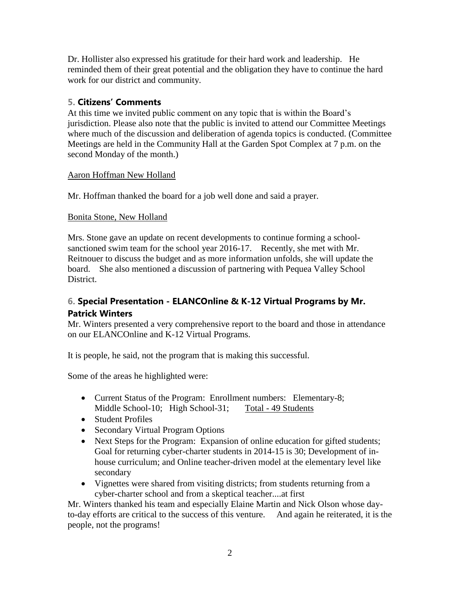Dr. Hollister also expressed his gratitude for their hard work and leadership. He reminded them of their great potential and the obligation they have to continue the hard work for our district and community.

## **5. Citizens' Comments**

At this time we invited public comment on any topic that is within the Board's jurisdiction. Please also note that the public is invited to attend our Committee Meetings where much of the discussion and deliberation of agenda topics is conducted. (Committee Meetings are held in the Community Hall at the Garden Spot Complex at 7 p.m. on the second Monday of the month.)

## Aaron Hoffman New Holland

Mr. Hoffman thanked the board for a job well done and said a prayer.

## Bonita Stone, New Holland

Mrs. Stone gave an update on recent developments to continue forming a schoolsanctioned swim team for the school year 2016-17. Recently, she met with Mr. Reitnouer to discuss the budget and as more information unfolds, she will update the board. She also mentioned a discussion of partnering with Pequea Valley School District.

## **6. Special Presentation - ELANCOnline & K-12 Virtual Programs by Mr. Patrick Winters**

Mr. Winters presented a very comprehensive report to the board and those in attendance on our ELANCOnline and K-12 Virtual Programs.

It is people, he said, not the program that is making this successful.

Some of the areas he highlighted were:

- Current Status of the Program: Enrollment numbers: Elementary-8; Middle School-10; High School-31; Total - 49 Students
- Student Profiles
- Secondary Virtual Program Options
- Next Steps for the Program: Expansion of online education for gifted students; Goal for returning cyber-charter students in 2014-15 is 30; Development of inhouse curriculum; and Online teacher-driven model at the elementary level like secondary
- Vignettes were shared from visiting districts; from students returning from a cyber-charter school and from a skeptical teacher....at first

Mr. Winters thanked his team and especially Elaine Martin and Nick Olson whose dayto-day efforts are critical to the success of this venture. And again he reiterated, it is the people, not the programs!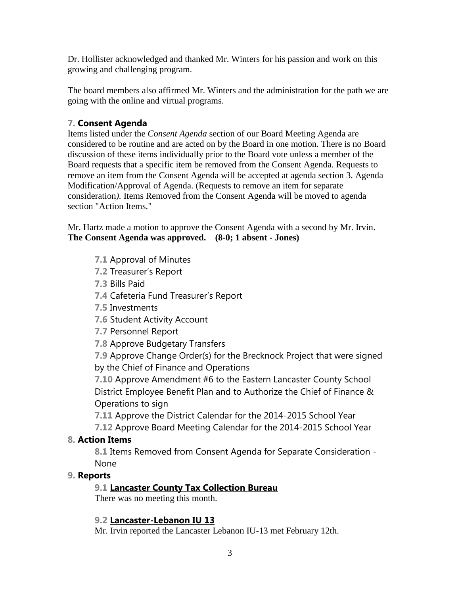Dr. Hollister acknowledged and thanked Mr. Winters for his passion and work on this growing and challenging program.

The board members also affirmed Mr. Winters and the administration for the path we are going with the online and virtual programs.

## **7. Consent Agenda**

Items listed under the *Consent Agenda* section of our Board Meeting Agenda are considered to be routine and are acted on by the Board in one motion. There is no Board discussion of these items individually prior to the Board vote unless a member of the Board requests that a specific item be removed from the Consent Agenda. Requests to remove an item from the Consent Agenda will be accepted at agenda section 3. Agenda Modification/Approval of Agenda. (Requests to remove an item for separate consideration*).* Items Removed from the Consent Agenda will be moved to agenda section "Action Items."

Mr. Hartz made a motion to approve the Consent Agenda with a second by Mr. Irvin. **The Consent Agenda was approved. (8-0; 1 absent - Jones)** 

- **7.1** Approval of Minutes
- **7.2** Treasurer's Report
- **7.3** Bills Paid
- **7.4** Cafeteria Fund Treasurer's Report
- **7.5** Investments
- **7.6** Student Activity Account
- **7.7** Personnel Report
- **7.8** Approve Budgetary Transfers

**7.9** Approve Change Order(s) for the Brecknock Project that were signed by the Chief of Finance and Operations

**7.10** Approve Amendment #6 to the Eastern Lancaster County School District Employee Benefit Plan and to Authorize the Chief of Finance & Operations to sign

**7.11** Approve the District Calendar for the 2014-2015 School Year

**7.12** Approve Board Meeting Calendar for the 2014-2015 School Year

## **8. Action Items**

**8.1** Items Removed from Consent Agenda for Separate Consideration - None

## **9. Reports**

## **9.1 Lancaster County Tax Collection Bureau**

There was no meeting this month.

## **9.2 Lancaster-Lebanon IU 13**

Mr. Irvin reported the Lancaster Lebanon IU-13 met February 12th.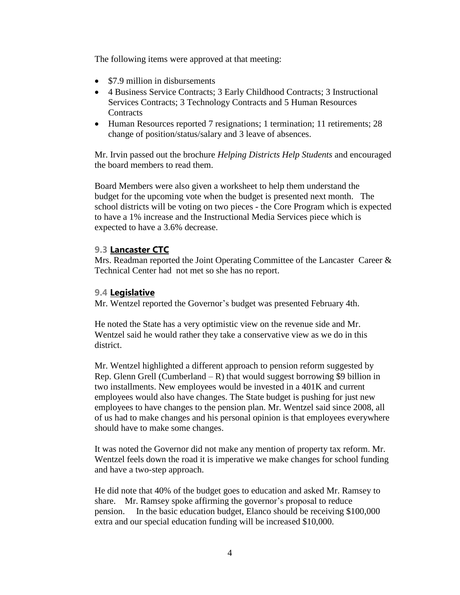The following items were approved at that meeting:

- \$7.9 million in disbursements
- 4 Business Service Contracts; 3 Early Childhood Contracts; 3 Instructional Services Contracts; 3 Technology Contracts and 5 Human Resources **Contracts**
- Human Resources reported 7 resignations; 1 termination; 11 retirements; 28 change of position/status/salary and 3 leave of absences.

Mr. Irvin passed out the brochure *Helping Districts Help Students* and encouraged the board members to read them.

Board Members were also given a worksheet to help them understand the budget for the upcoming vote when the budget is presented next month. The school districts will be voting on two pieces - the Core Program which is expected to have a 1% increase and the Instructional Media Services piece which is expected to have a 3.6% decrease.

## **9.3 Lancaster CTC**

Mrs. Readman reported the Joint Operating Committee of the Lancaster Career & Technical Center had not met so she has no report.

## **9.4 Legislative**

Mr. Wentzel reported the Governor's budget was presented February 4th.

He noted the State has a very optimistic view on the revenue side and Mr. Wentzel said he would rather they take a conservative view as we do in this district.

Mr. Wentzel highlighted a different approach to pension reform suggested by Rep. Glenn Grell (Cumberland – R) that would suggest borrowing \$9 billion in two installments. New employees would be invested in a 401K and current employees would also have changes. The State budget is pushing for just new employees to have changes to the pension plan. Mr. Wentzel said since 2008, all of us had to make changes and his personal opinion is that employees everywhere should have to make some changes.

It was noted the Governor did not make any mention of property tax reform. Mr. Wentzel feels down the road it is imperative we make changes for school funding and have a two-step approach.

He did note that 40% of the budget goes to education and asked Mr. Ramsey to share. Mr. Ramsey spoke affirming the governor's proposal to reduce pension. In the basic education budget, Elanco should be receiving \$100,000 extra and our special education funding will be increased \$10,000.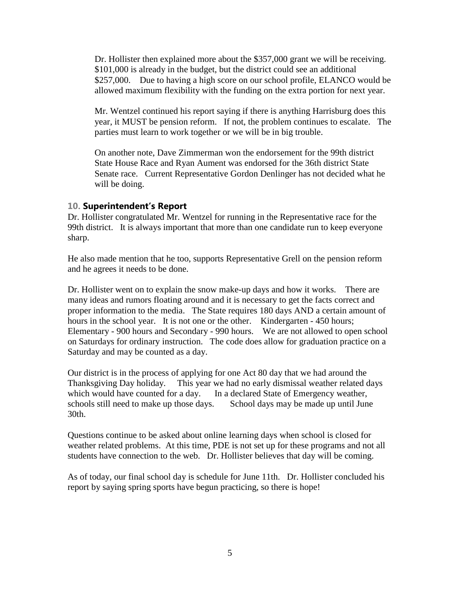Dr. Hollister then explained more about the \$357,000 grant we will be receiving. \$101,000 is already in the budget, but the district could see an additional \$257,000. Due to having a high score on our school profile, ELANCO would be allowed maximum flexibility with the funding on the extra portion for next year.

Mr. Wentzel continued his report saying if there is anything Harrisburg does this year, it MUST be pension reform. If not, the problem continues to escalate. The parties must learn to work together or we will be in big trouble.

On another note, Dave Zimmerman won the endorsement for the 99th district State House Race and Ryan Aument was endorsed for the 36th district State Senate race. Current Representative Gordon Denlinger has not decided what he will be doing.

#### **10. Superintendent's Report**

Dr. Hollister congratulated Mr. Wentzel for running in the Representative race for the 99th district. It is always important that more than one candidate run to keep everyone sharp.

He also made mention that he too, supports Representative Grell on the pension reform and he agrees it needs to be done.

Dr. Hollister went on to explain the snow make-up days and how it works. There are many ideas and rumors floating around and it is necessary to get the facts correct and proper information to the media. The State requires 180 days AND a certain amount of hours in the school year. It is not one or the other. Kindergarten - 450 hours; Elementary - 900 hours and Secondary - 990 hours. We are not allowed to open school on Saturdays for ordinary instruction. The code does allow for graduation practice on a Saturday and may be counted as a day.

Our district is in the process of applying for one Act 80 day that we had around the Thanksgiving Day holiday. This year we had no early dismissal weather related days which would have counted for a day. In a declared State of Emergency weather, schools still need to make up those days. School days may be made up until June 30th.

Questions continue to be asked about online learning days when school is closed for weather related problems. At this time, PDE is not set up for these programs and not all students have connection to the web. Dr. Hollister believes that day will be coming.

As of today, our final school day is schedule for June 11th. Dr. Hollister concluded his report by saying spring sports have begun practicing, so there is hope!